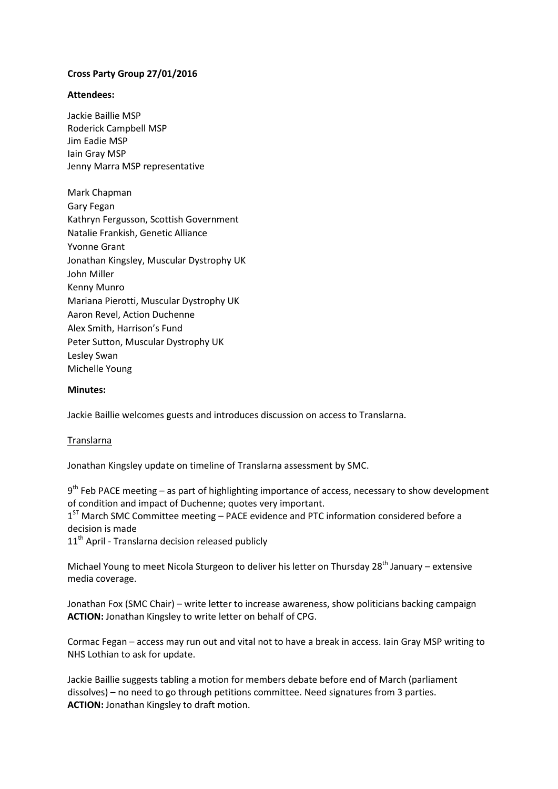# **Cross Party Group 27/01/2016**

## **Attendees:**

Jackie Baillie MSP Roderick Campbell MSP Jim Eadie MSP Iain Gray MSP Jenny Marra MSP representative

Mark Chapman Gary Fegan Kathryn Fergusson, Scottish Government Natalie Frankish, Genetic Alliance Yvonne Grant Jonathan Kingsley, Muscular Dystrophy UK John Miller Kenny Munro Mariana Pierotti, Muscular Dystrophy UK Aaron Revel, Action Duchenne Alex Smith, Harrison's Fund Peter Sutton, Muscular Dystrophy UK Lesley Swan Michelle Young

### **Minutes:**

Jackie Baillie welcomes guests and introduces discussion on access to Translarna.

#### Translarna

Jonathan Kingsley update on timeline of Translarna assessment by SMC.

9<sup>th</sup> Feb PACE meeting – as part of highlighting importance of access, necessary to show development of condition and impact of Duchenne; quotes very important.

1<sup>ST</sup> March SMC Committee meeting - PACE evidence and PTC information considered before a decision is made

 $11<sup>th</sup>$  April - Translarna decision released publicly

Michael Young to meet Nicola Sturgeon to deliver his letter on Thursday  $28^{th}$  January – extensive media coverage.

Jonathan Fox (SMC Chair) – write letter to increase awareness, show politicians backing campaign **ACTION:** Jonathan Kingsley to write letter on behalf of CPG.

Cormac Fegan – access may run out and vital not to have a break in access. Iain Gray MSP writing to NHS Lothian to ask for update.

Jackie Baillie suggests tabling a motion for members debate before end of March (parliament dissolves) – no need to go through petitions committee. Need signatures from 3 parties. **ACTION:** Jonathan Kingsley to draft motion.